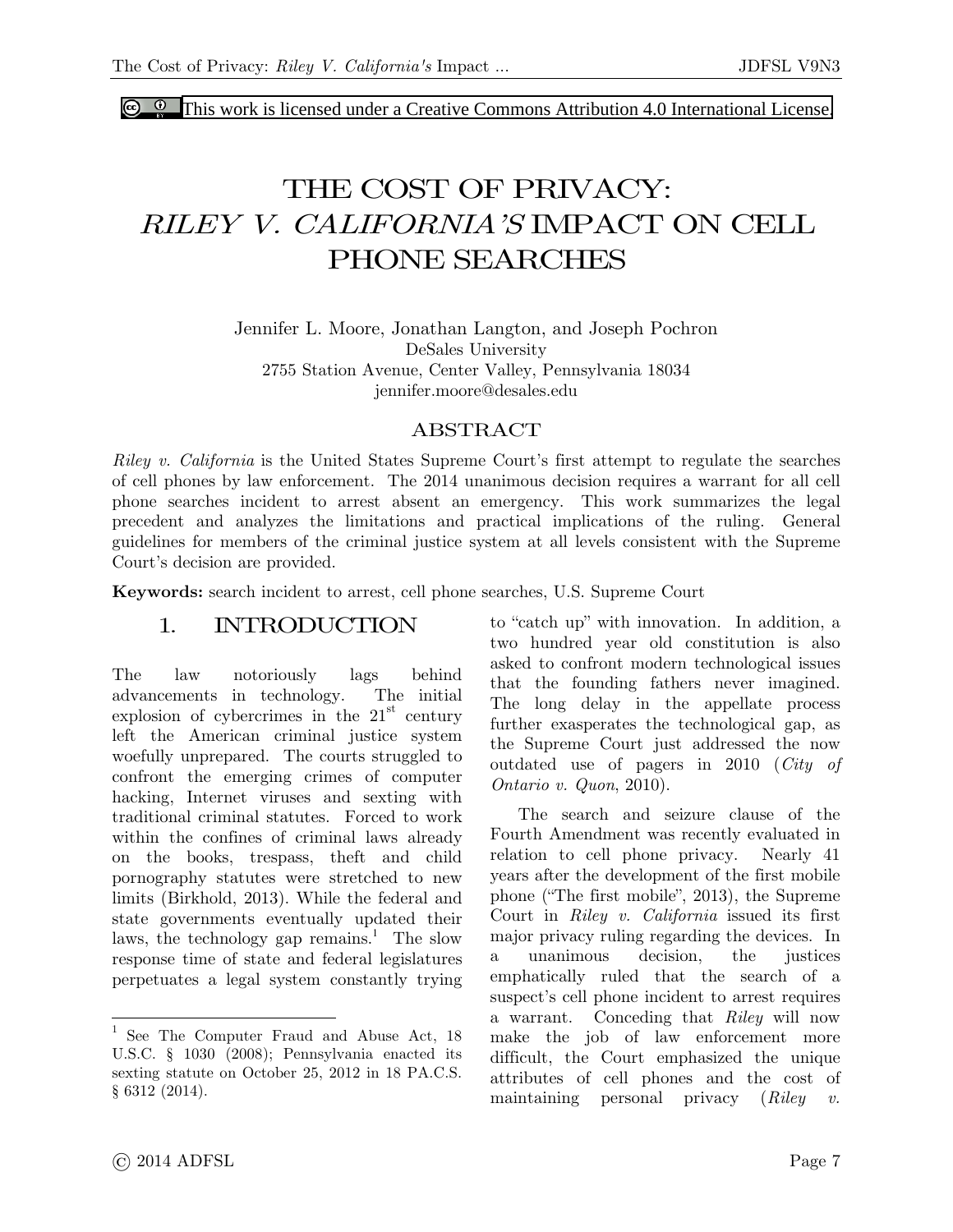**C**  $\bullet$  [This work is licensed under a Creative Commons Attribution 4.0 International License.](http://creativecommons.org/licenses/by/4.0/)

## THE COST OF PRIVACY: *RILEY V. CALIFORNIA'S* IMPACT ON CELL PHONE SEARCHES

Jennifer L. Moore, Jonathan Langton, and Joseph Pochron DeSales University 2755 Station Avenue, Center Valley, Pennsylvania 18034 jennifer.moore@desales.edu

#### ABSTRACT

*Riley v. California* is the United States Supreme Court's first attempt to regulate the searches of cell phones by law enforcement. The 2014 unanimous decision requires a warrant for all cell phone searches incident to arrest absent an emergency. This work summarizes the legal precedent and analyzes the limitations and practical implications of the ruling. General guidelines for members of the criminal justice system at all levels consistent with the Supreme Court's decision are provided.

**Keywords:** search incident to arrest, cell phone searches, U.S. Supreme Court

#### 1. INTRODUCTION

The law notoriously lags behind advancements in technology. The initial explosion of cybercrimes in the  $21<sup>st</sup>$  century left the American criminal justice system woefully unprepared. The courts struggled to confront the emerging crimes of computer hacking, Internet viruses and sexting with traditional criminal statutes. Forced to work within the confines of criminal laws already on the books, trespass, theft and child pornography statutes were stretched to new limits (Birkhold, 2013). While the federal and state governments eventually updated their laws, the technology gap remains.<sup>1</sup> The slow response time of state and federal legislatures perpetuates a legal system constantly trying

to "catch up" with innovation. In addition, a two hundred year old constitution is also asked to confront modern technological issues that the founding fathers never imagined. The long delay in the appellate process further exasperates the technological gap, as the Supreme Court just addressed the now outdated use of pagers in 2010 (*City of Ontario v. Quon*, 2010).

The search and seizure clause of the Fourth Amendment was recently evaluated in relation to cell phone privacy. Nearly 41 years after the development of the first mobile phone ("The first mobile", 2013), the Supreme Court in *Riley v. California* issued its first major privacy ruling regarding the devices. In a unanimous decision, the justices emphatically ruled that the search of a suspect's cell phone incident to arrest requires a warrant. Conceding that *Riley* will now make the job of law enforcement more difficult, the Court emphasized the unique attributes of cell phones and the cost of maintaining personal privacy (*Riley v.* 

 $\overline{a}$ 

<sup>&</sup>lt;sup>1</sup> See The Computer Fraud and Abuse Act, 18 U.S.C. § 1030 (2008); Pennsylvania enacted its sexting statute on October 25, 2012 in 18 PA.C.S. § 6312 (2014).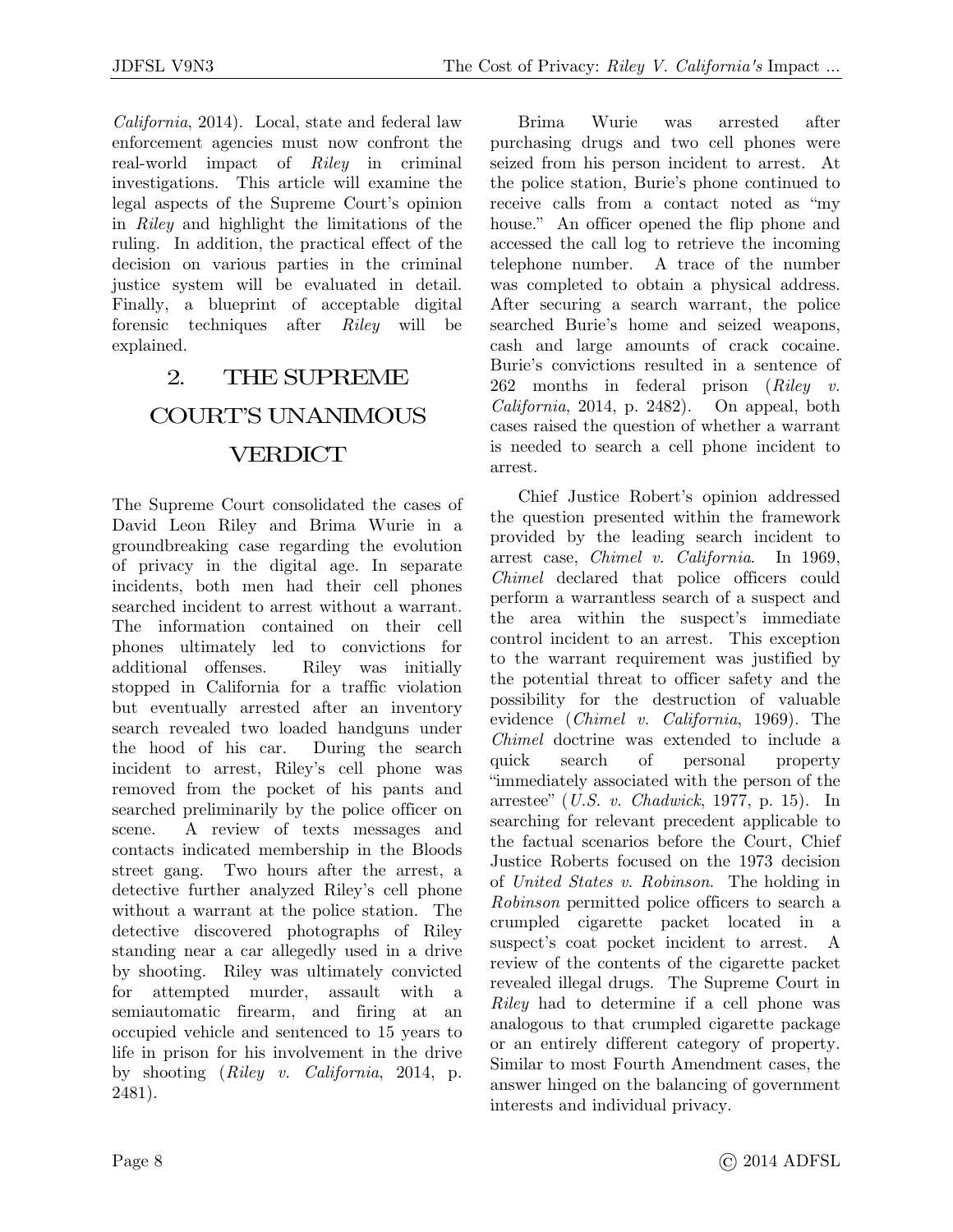*California*, 2014). Local, state and federal law enforcement agencies must now confront the real-world impact of *Riley* in criminal investigations. This article will examine the legal aspects of the Supreme Court's opinion in *Riley* and highlight the limitations of the ruling. In addition, the practical effect of the decision on various parties in the criminal justice system will be evaluated in detail. Finally, a blueprint of acceptable digital forensic techniques after *Riley* will be explained.

### 2. THE SUPREME COURT'S UNANIMOUS **VERDICT**

The Supreme Court consolidated the cases of David Leon Riley and Brima Wurie in a groundbreaking case regarding the evolution of privacy in the digital age. In separate incidents, both men had their cell phones searched incident to arrest without a warrant. The information contained on their cell phones ultimately led to convictions for additional offenses. Riley was initially stopped in California for a traffic violation but eventually arrested after an inventory search revealed two loaded handguns under the hood of his car. During the search incident to arrest, Riley's cell phone was removed from the pocket of his pants and searched preliminarily by the police officer on scene. A review of texts messages and contacts indicated membership in the Bloods street gang. Two hours after the arrest, a detective further analyzed Riley's cell phone without a warrant at the police station. The detective discovered photographs of Riley standing near a car allegedly used in a drive by shooting. Riley was ultimately convicted for attempted murder, assault with a semiautomatic firearm, and firing at an occupied vehicle and sentenced to 15 years to life in prison for his involvement in the drive by shooting (*Riley v. California*, 2014, p. 2481).

Brima Wurie was arrested after purchasing drugs and two cell phones were seized from his person incident to arrest. At the police station, Burie's phone continued to receive calls from a contact noted as "my house." An officer opened the flip phone and accessed the call log to retrieve the incoming telephone number. A trace of the number was completed to obtain a physical address. After securing a search warrant, the police searched Burie's home and seized weapons, cash and large amounts of crack cocaine. Burie's convictions resulted in a sentence of 262 months in federal prison (*Riley v. California*, 2014, p. 2482). On appeal, both cases raised the question of whether a warrant is needed to search a cell phone incident to arrest.

Chief Justice Robert's opinion addressed the question presented within the framework provided by the leading search incident to arrest case, *Chimel v. California*. In 1969, *Chimel* declared that police officers could perform a warrantless search of a suspect and the area within the suspect's immediate control incident to an arrest. This exception to the warrant requirement was justified by the potential threat to officer safety and the possibility for the destruction of valuable evidence (*Chimel v. California*, 1969). The *Chimel* doctrine was extended to include a quick search of personal property "immediately associated with the person of the arrestee" (*U.S. v. Chadwick*, 1977, p. 15). In searching for relevant precedent applicable to the factual scenarios before the Court, Chief Justice Roberts focused on the 1973 decision of *United States v. Robinson*. The holding in *Robinson* permitted police officers to search a crumpled cigarette packet located in a suspect's coat pocket incident to arrest. A review of the contents of the cigarette packet revealed illegal drugs. The Supreme Court in *Riley* had to determine if a cell phone was analogous to that crumpled cigarette package or an entirely different category of property. Similar to most Fourth Amendment cases, the answer hinged on the balancing of government interests and individual privacy.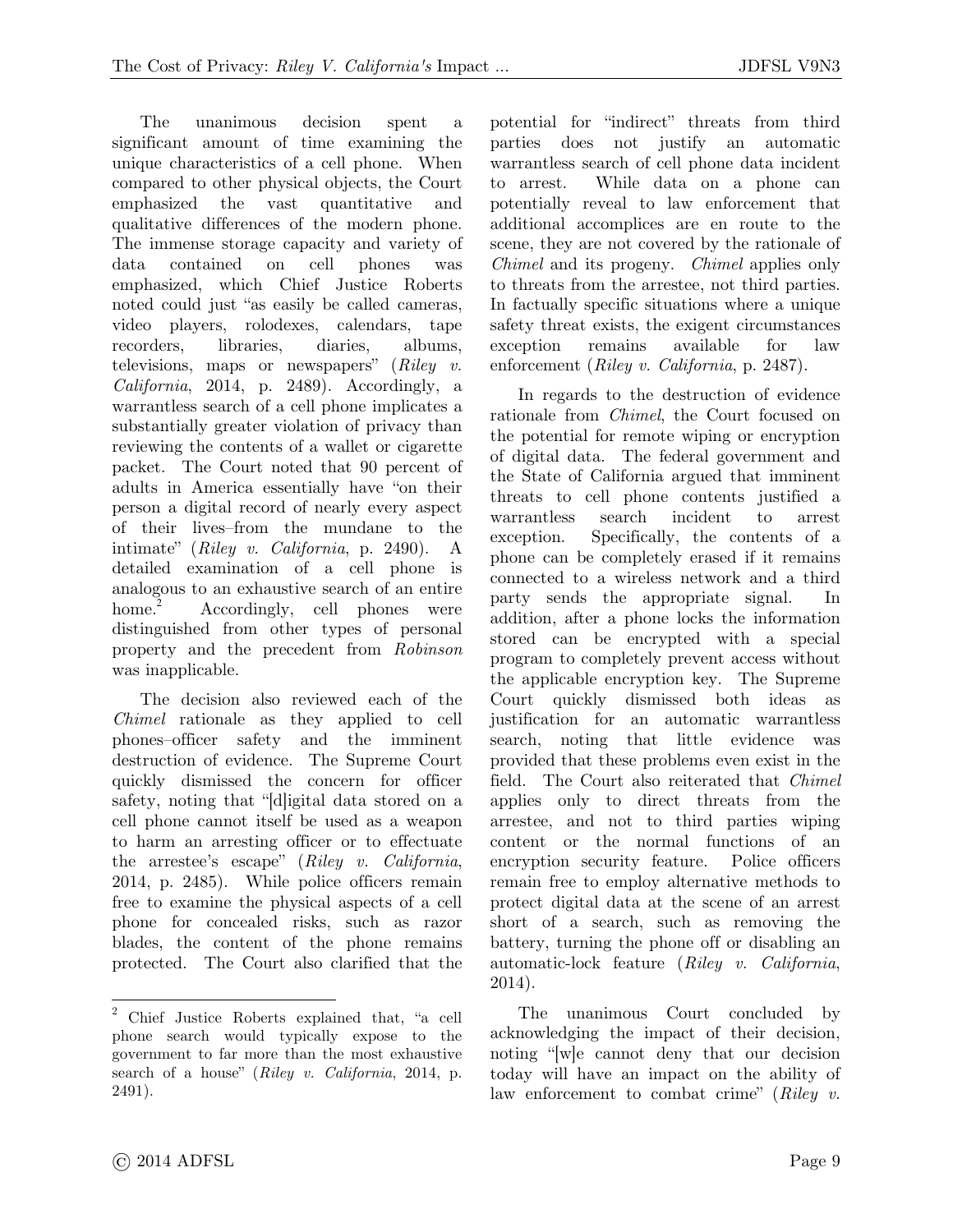The unanimous decision spent a significant amount of time examining the unique characteristics of a cell phone. When compared to other physical objects, the Court emphasized the vast quantitative and qualitative differences of the modern phone. The immense storage capacity and variety of data contained on cell phones was emphasized, which Chief Justice Roberts noted could just "as easily be called cameras, video players, rolodexes, calendars, tape recorders, libraries, diaries, albums, televisions, maps or newspapers" (*Riley v. California*, 2014, p. 2489). Accordingly, a warrantless search of a cell phone implicates a substantially greater violation of privacy than reviewing the contents of a wallet or cigarette packet. The Court noted that 90 percent of adults in America essentially have "on their person a digital record of nearly every aspect of their lives–from the mundane to the intimate" (*Riley v. California*, p. 2490). A detailed examination of a cell phone is analogous to an exhaustive search of an entire home. $2$  Accordingly, cell phones were distinguished from other types of personal property and the precedent from *Robinson* was inapplicable.

The decision also reviewed each of the *Chimel* rationale as they applied to cell phones–officer safety and the imminent destruction of evidence. The Supreme Court quickly dismissed the concern for officer safety, noting that "[d]igital data stored on a cell phone cannot itself be used as a weapon to harm an arresting officer or to effectuate the arrestee's escape" (*Riley v. California*, 2014, p. 2485). While police officers remain free to examine the physical aspects of a cell phone for concealed risks, such as razor blades, the content of the phone remains protected. The Court also clarified that the potential for "indirect" threats from third parties does not justify an automatic warrantless search of cell phone data incident to arrest. While data on a phone can potentially reveal to law enforcement that additional accomplices are en route to the scene, they are not covered by the rationale of *Chimel* and its progeny. *Chimel* applies only to threats from the arrestee, not third parties. In factually specific situations where a unique safety threat exists, the exigent circumstances exception remains available for law enforcement (*Riley v. California*, p. 2487).

In regards to the destruction of evidence rationale from *Chimel*, the Court focused on the potential for remote wiping or encryption of digital data. The federal government and the State of California argued that imminent threats to cell phone contents justified a warrantless search incident to arrest exception. Specifically, the contents of a phone can be completely erased if it remains connected to a wireless network and a third party sends the appropriate signal. In addition, after a phone locks the information stored can be encrypted with a special program to completely prevent access without the applicable encryption key. The Supreme Court quickly dismissed both ideas as justification for an automatic warrantless search, noting that little evidence was provided that these problems even exist in the field. The Court also reiterated that *Chimel* applies only to direct threats from the arrestee, and not to third parties wiping content or the normal functions of an encryption security feature. Police officers remain free to employ alternative methods to protect digital data at the scene of an arrest short of a search, such as removing the battery, turning the phone off or disabling an automatic-lock feature (*Riley v. California*, 2014).

The unanimous Court concluded by acknowledging the impact of their decision, noting "[w]e cannot deny that our decision today will have an impact on the ability of law enforcement to combat crime" (*Riley v.* 

l

<sup>2</sup> Chief Justice Roberts explained that, "a cell phone search would typically expose to the government to far more than the most exhaustive search of a house" (*Riley v. California*, 2014, p. 2491).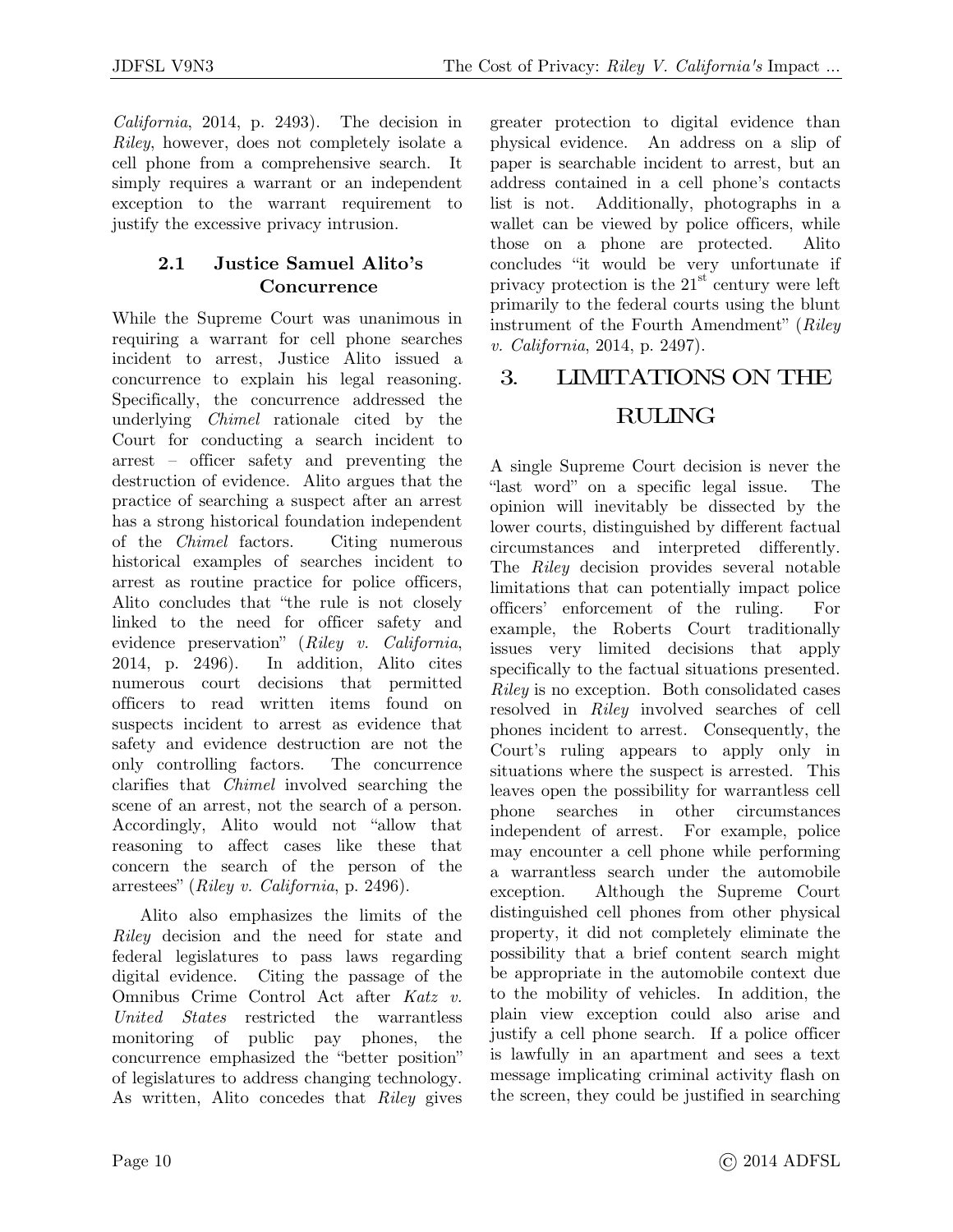*California*, 2014, p. 2493). The decision in *Riley*, however, does not completely isolate a cell phone from a comprehensive search. It simply requires a warrant or an independent exception to the warrant requirement to justify the excessive privacy intrusion.

### **2.1 Justice Samuel Alito's Concurrence**

While the Supreme Court was unanimous in requiring a warrant for cell phone searches incident to arrest, Justice Alito issued a concurrence to explain his legal reasoning. Specifically, the concurrence addressed the underlying *Chimel* rationale cited by the Court for conducting a search incident to arrest – officer safety and preventing the destruction of evidence. Alito argues that the practice of searching a suspect after an arrest has a strong historical foundation independent of the *Chimel* factors. Citing numerous historical examples of searches incident to arrest as routine practice for police officers, Alito concludes that "the rule is not closely linked to the need for officer safety and evidence preservation" (*Riley v. California*, 2014, p. 2496). In addition, Alito cites numerous court decisions that permitted officers to read written items found on suspects incident to arrest as evidence that safety and evidence destruction are not the only controlling factors. The concurrence clarifies that *Chimel* involved searching the scene of an arrest, not the search of a person. Accordingly, Alito would not "allow that reasoning to affect cases like these that concern the search of the person of the arrestees" (*Riley v. California*, p. 2496).

Alito also emphasizes the limits of the *Riley* decision and the need for state and federal legislatures to pass laws regarding digital evidence. Citing the passage of the Omnibus Crime Control Act after *Katz v. United States* restricted the warrantless monitoring of public pay phones, the concurrence emphasized the "better position" of legislatures to address changing technology. As written, Alito concedes that *Riley* gives greater protection to digital evidence than physical evidence. An address on a slip of paper is searchable incident to arrest, but an address contained in a cell phone's contacts list is not. Additionally, photographs in a wallet can be viewed by police officers, while those on a phone are protected. Alito concludes "it would be very unfortunate if privacy protection is the  $21<sup>st</sup>$  century were left primarily to the federal courts using the blunt instrument of the Fourth Amendment" (*Riley v. California*, 2014, p. 2497).

### 3. LIMITATIONS ON THE

### RULING

A single Supreme Court decision is never the "last word" on a specific legal issue. The opinion will inevitably be dissected by the lower courts, distinguished by different factual circumstances and interpreted differently. The *Riley* decision provides several notable limitations that can potentially impact police officers' enforcement of the ruling. For example, the Roberts Court traditionally issues very limited decisions that apply specifically to the factual situations presented. *Riley* is no exception. Both consolidated cases resolved in *Riley* involved searches of cell phones incident to arrest. Consequently, the Court's ruling appears to apply only in situations where the suspect is arrested. This leaves open the possibility for warrantless cell phone searches in other circumstances independent of arrest. For example, police may encounter a cell phone while performing a warrantless search under the automobile exception. Although the Supreme Court distinguished cell phones from other physical property, it did not completely eliminate the possibility that a brief content search might be appropriate in the automobile context due to the mobility of vehicles. In addition, the plain view exception could also arise and justify a cell phone search. If a police officer is lawfully in an apartment and sees a text message implicating criminal activity flash on the screen, they could be justified in searching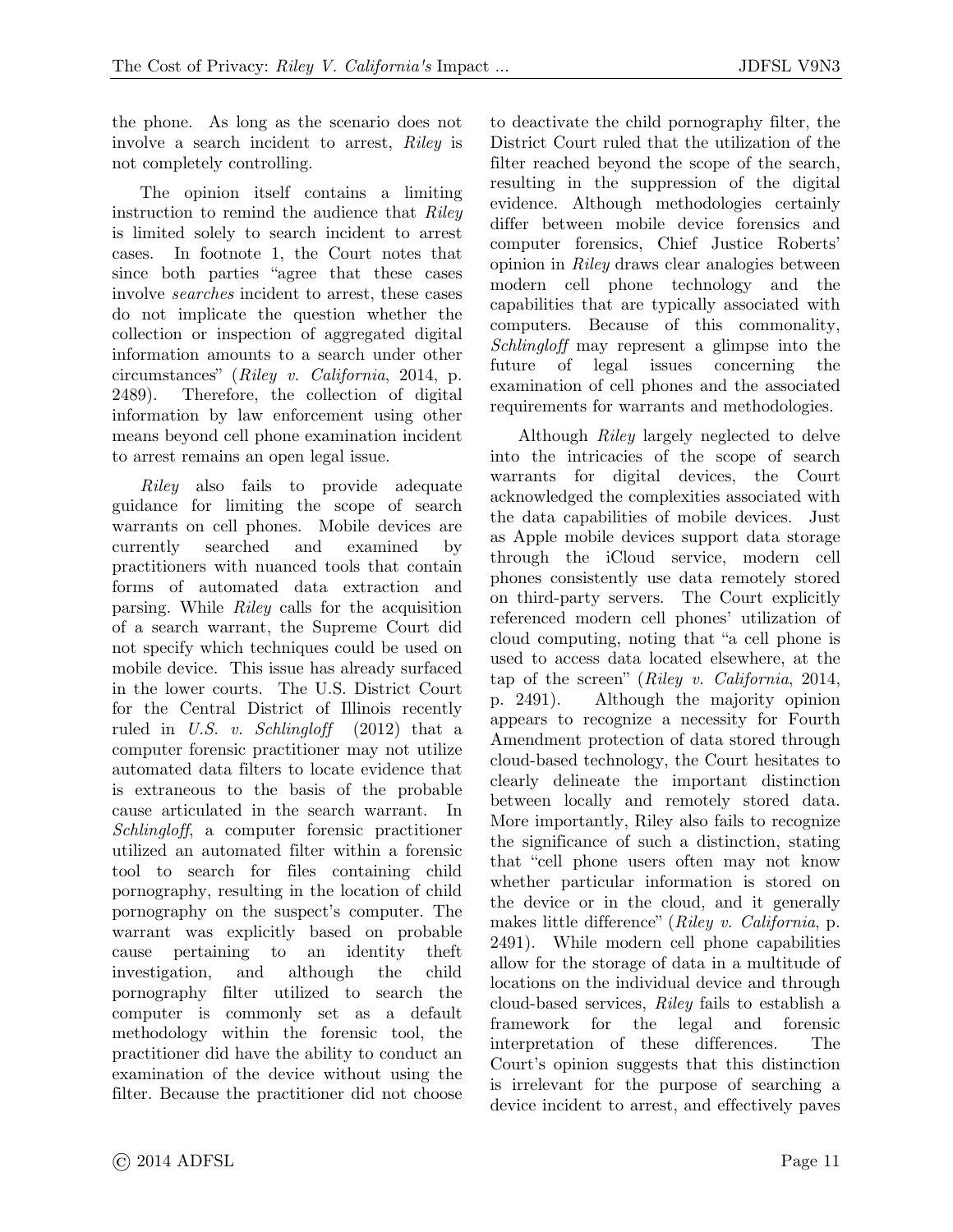the phone. As long as the scenario does not involve a search incident to arrest, *Riley* is not completely controlling.

The opinion itself contains a limiting instruction to remind the audience that *Riley* is limited solely to search incident to arrest cases. In footnote 1, the Court notes that since both parties "agree that these cases involve *searches* incident to arrest, these cases do not implicate the question whether the collection or inspection of aggregated digital information amounts to a search under other circumstances" (*Riley v. California*, 2014, p. 2489). Therefore, the collection of digital information by law enforcement using other means beyond cell phone examination incident to arrest remains an open legal issue.

*Riley* also fails to provide adequate guidance for limiting the scope of search warrants on cell phones. Mobile devices are currently searched and examined by practitioners with nuanced tools that contain forms of automated data extraction and parsing. While *Riley* calls for the acquisition of a search warrant, the Supreme Court did not specify which techniques could be used on mobile device. This issue has already surfaced in the lower courts. The U.S. District Court for the Central District of Illinois recently ruled in *U.S. v. Schlingloff* (2012) that a computer forensic practitioner may not utilize automated data filters to locate evidence that is extraneous to the basis of the probable cause articulated in the search warrant. In *Schlingloff*, a computer forensic practitioner utilized an automated filter within a forensic tool to search for files containing child pornography, resulting in the location of child pornography on the suspect's computer. The warrant was explicitly based on probable cause pertaining to an identity theft investigation, and although the child pornography filter utilized to search the computer is commonly set as a default methodology within the forensic tool, the practitioner did have the ability to conduct an examination of the device without using the filter. Because the practitioner did not choose

to deactivate the child pornography filter, the District Court ruled that the utilization of the filter reached beyond the scope of the search, resulting in the suppression of the digital evidence. Although methodologies certainly differ between mobile device forensics and computer forensics, Chief Justice Roberts' opinion in *Riley* draws clear analogies between modern cell phone technology and the capabilities that are typically associated with computers. Because of this commonality, *Schlingloff* may represent a glimpse into the future of legal issues concerning the examination of cell phones and the associated requirements for warrants and methodologies.

Although *Riley* largely neglected to delve into the intricacies of the scope of search warrants for digital devices, the Court acknowledged the complexities associated with the data capabilities of mobile devices. Just as Apple mobile devices support data storage through the iCloud service, modern cell phones consistently use data remotely stored on third-party servers. The Court explicitly referenced modern cell phones' utilization of cloud computing, noting that "a cell phone is used to access data located elsewhere, at the tap of the screen" (*Riley v. California*, 2014, p. 2491). Although the majority opinion appears to recognize a necessity for Fourth Amendment protection of data stored through cloud-based technology, the Court hesitates to clearly delineate the important distinction between locally and remotely stored data. More importantly, Riley also fails to recognize the significance of such a distinction, stating that "cell phone users often may not know whether particular information is stored on the device or in the cloud, and it generally makes little difference" (*Riley v. California*, p. 2491). While modern cell phone capabilities allow for the storage of data in a multitude of locations on the individual device and through cloud-based services, *Riley* fails to establish a framework for the legal and forensic interpretation of these differences. The Court's opinion suggests that this distinction is irrelevant for the purpose of searching a device incident to arrest, and effectively paves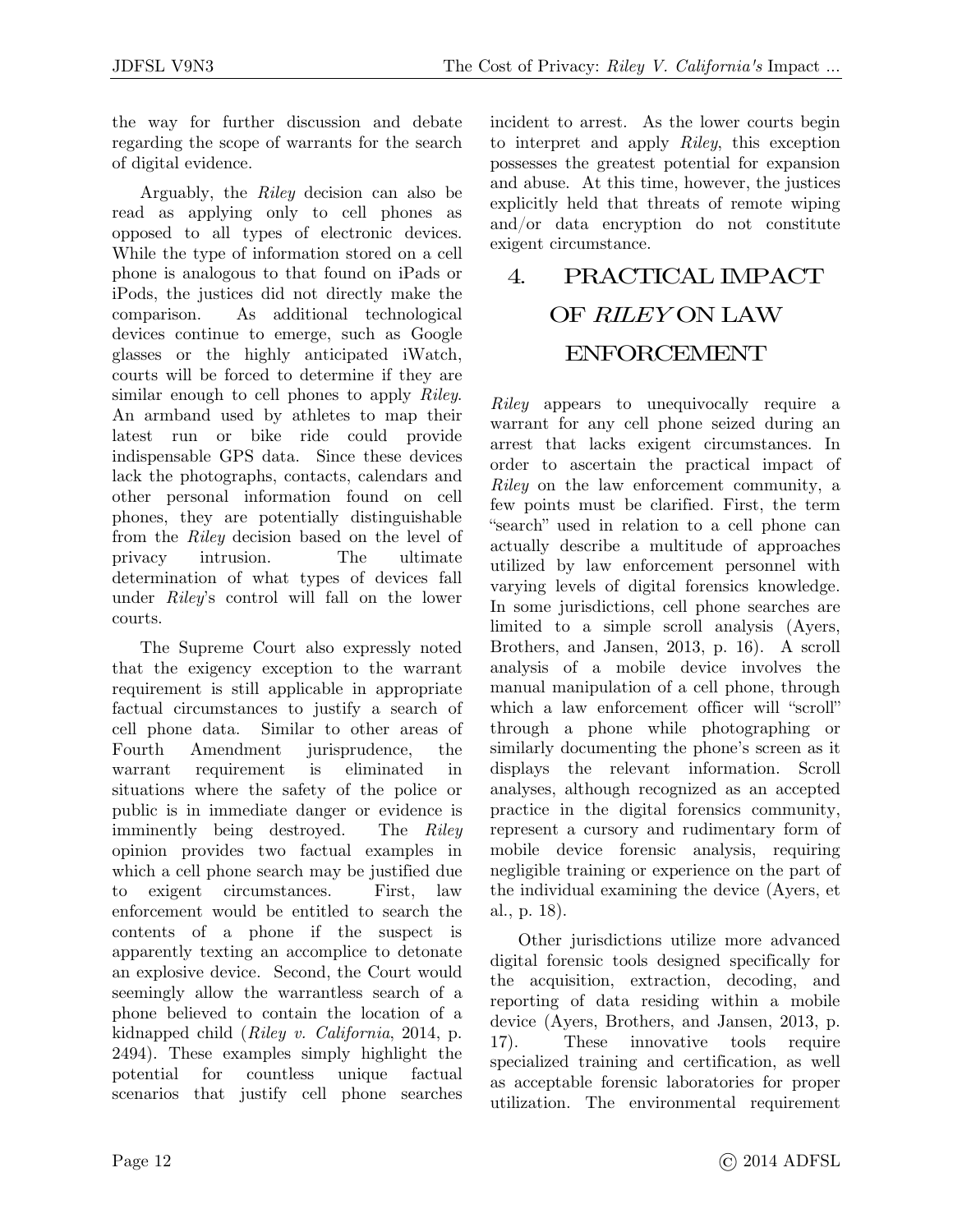the way for further discussion and debate regarding the scope of warrants for the search of digital evidence.

Arguably, the *Riley* decision can also be read as applying only to cell phones as opposed to all types of electronic devices. While the type of information stored on a cell phone is analogous to that found on iPads or iPods, the justices did not directly make the comparison. As additional technological devices continue to emerge, such as Google glasses or the highly anticipated iWatch, courts will be forced to determine if they are similar enough to cell phones to apply *Riley*. An armband used by athletes to map their latest run or bike ride could provide indispensable GPS data. Since these devices lack the photographs, contacts, calendars and other personal information found on cell phones, they are potentially distinguishable from the *Riley* decision based on the level of privacy intrusion. The ultimate determination of what types of devices fall under *Riley*'s control will fall on the lower courts.

The Supreme Court also expressly noted that the exigency exception to the warrant requirement is still applicable in appropriate factual circumstances to justify a search of cell phone data. Similar to other areas of Fourth Amendment jurisprudence, the warrant requirement is eliminated in situations where the safety of the police or public is in immediate danger or evidence is imminently being destroyed. The *Riley* opinion provides two factual examples in which a cell phone search may be justified due to exigent circumstances. First, law enforcement would be entitled to search the contents of a phone if the suspect is apparently texting an accomplice to detonate an explosive device. Second, the Court would seemingly allow the warrantless search of a phone believed to contain the location of a kidnapped child (*Riley v. California*, 2014, p. 2494). These examples simply highlight the potential for countless unique factual scenarios that justify cell phone searches

incident to arrest. As the lower courts begin to interpret and apply *Riley*, this exception possesses the greatest potential for expansion and abuse. At this time, however, the justices explicitly held that threats of remote wiping and/or data encryption do not constitute exigent circumstance.

# 4. PRACTICAL IMPACT OF *RILEY* ON LAW ENFORCEMENT

*Riley* appears to unequivocally require a warrant for any cell phone seized during an arrest that lacks exigent circumstances. In order to ascertain the practical impact of *Riley* on the law enforcement community, a few points must be clarified. First, the term "search" used in relation to a cell phone can actually describe a multitude of approaches utilized by law enforcement personnel with varying levels of digital forensics knowledge. In some jurisdictions, cell phone searches are limited to a simple scroll analysis (Ayers, Brothers, and Jansen, 2013, p. 16). A scroll analysis of a mobile device involves the manual manipulation of a cell phone, through which a law enforcement officer will "scroll" through a phone while photographing or similarly documenting the phone's screen as it displays the relevant information. Scroll analyses, although recognized as an accepted practice in the digital forensics community, represent a cursory and rudimentary form of mobile device forensic analysis, requiring negligible training or experience on the part of the individual examining the device (Ayers, et al., p. 18).

Other jurisdictions utilize more advanced digital forensic tools designed specifically for the acquisition, extraction, decoding, and reporting of data residing within a mobile device (Ayers, Brothers, and Jansen, 2013, p. 17). These innovative tools require specialized training and certification, as well as acceptable forensic laboratories for proper utilization. The environmental requirement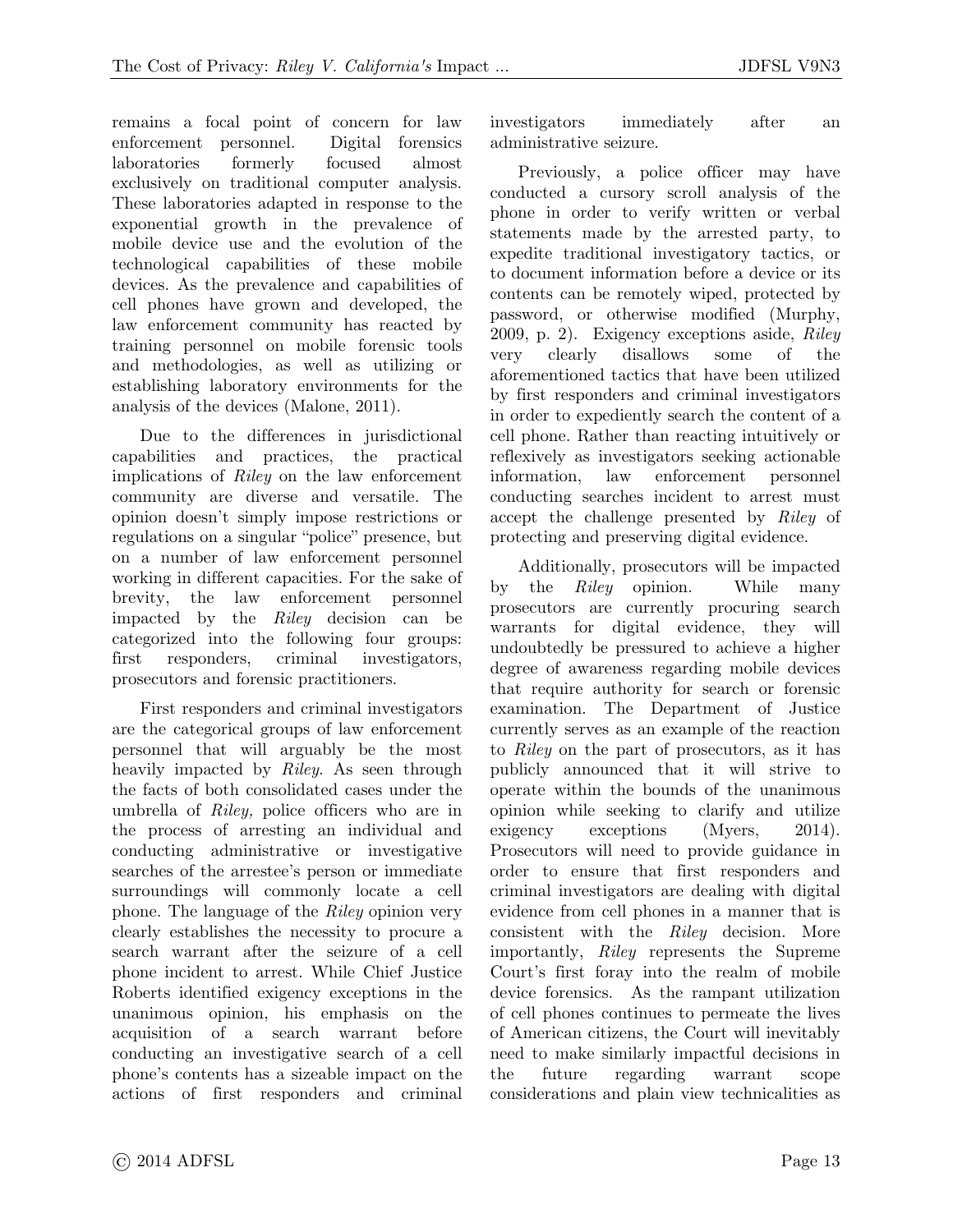remains a focal point of concern for law enforcement personnel. Digital forensics laboratories formerly focused almost exclusively on traditional computer analysis. These laboratories adapted in response to the exponential growth in the prevalence of mobile device use and the evolution of the technological capabilities of these mobile devices. As the prevalence and capabilities of cell phones have grown and developed, the law enforcement community has reacted by training personnel on mobile forensic tools and methodologies, as well as utilizing or establishing laboratory environments for the analysis of the devices (Malone, 2011).

Due to the differences in jurisdictional capabilities and practices, the practical implications of *Riley* on the law enforcement community are diverse and versatile. The opinion doesn't simply impose restrictions or regulations on a singular "police" presence, but on a number of law enforcement personnel working in different capacities. For the sake of brevity, the law enforcement personnel impacted by the *Riley* decision can be categorized into the following four groups: first responders, criminal investigators, prosecutors and forensic practitioners.

First responders and criminal investigators are the categorical groups of law enforcement personnel that will arguably be the most heavily impacted by *Riley*. As seen through the facts of both consolidated cases under the umbrella of *Riley,* police officers who are in the process of arresting an individual and conducting administrative or investigative searches of the arrestee's person or immediate surroundings will commonly locate a cell phone. The language of the *Riley* opinion very clearly establishes the necessity to procure a search warrant after the seizure of a cell phone incident to arrest. While Chief Justice Roberts identified exigency exceptions in the unanimous opinion, his emphasis on the acquisition of a search warrant before conducting an investigative search of a cell phone's contents has a sizeable impact on the actions of first responders and criminal investigators immediately after an administrative seizure.

Previously, a police officer may have conducted a cursory scroll analysis of the phone in order to verify written or verbal statements made by the arrested party, to expedite traditional investigatory tactics, or to document information before a device or its contents can be remotely wiped, protected by password, or otherwise modified (Murphy, 2009, p. 2). Exigency exceptions aside, *Riley* very clearly disallows some of the aforementioned tactics that have been utilized by first responders and criminal investigators in order to expediently search the content of a cell phone. Rather than reacting intuitively or reflexively as investigators seeking actionable information, law enforcement personnel conducting searches incident to arrest must accept the challenge presented by *Riley* of protecting and preserving digital evidence.

Additionally, prosecutors will be impacted by the *Riley* opinion. While many prosecutors are currently procuring search warrants for digital evidence, they will undoubtedly be pressured to achieve a higher degree of awareness regarding mobile devices that require authority for search or forensic examination. The Department of Justice currently serves as an example of the reaction to *Riley* on the part of prosecutors, as it has publicly announced that it will strive to operate within the bounds of the unanimous opinion while seeking to clarify and utilize exigency exceptions (Myers, 2014). Prosecutors will need to provide guidance in order to ensure that first responders and criminal investigators are dealing with digital evidence from cell phones in a manner that is consistent with the *Riley* decision. More importantly, *Riley* represents the Supreme Court's first foray into the realm of mobile device forensics. As the rampant utilization of cell phones continues to permeate the lives of American citizens, the Court will inevitably need to make similarly impactful decisions in the future regarding warrant scope considerations and plain view technicalities as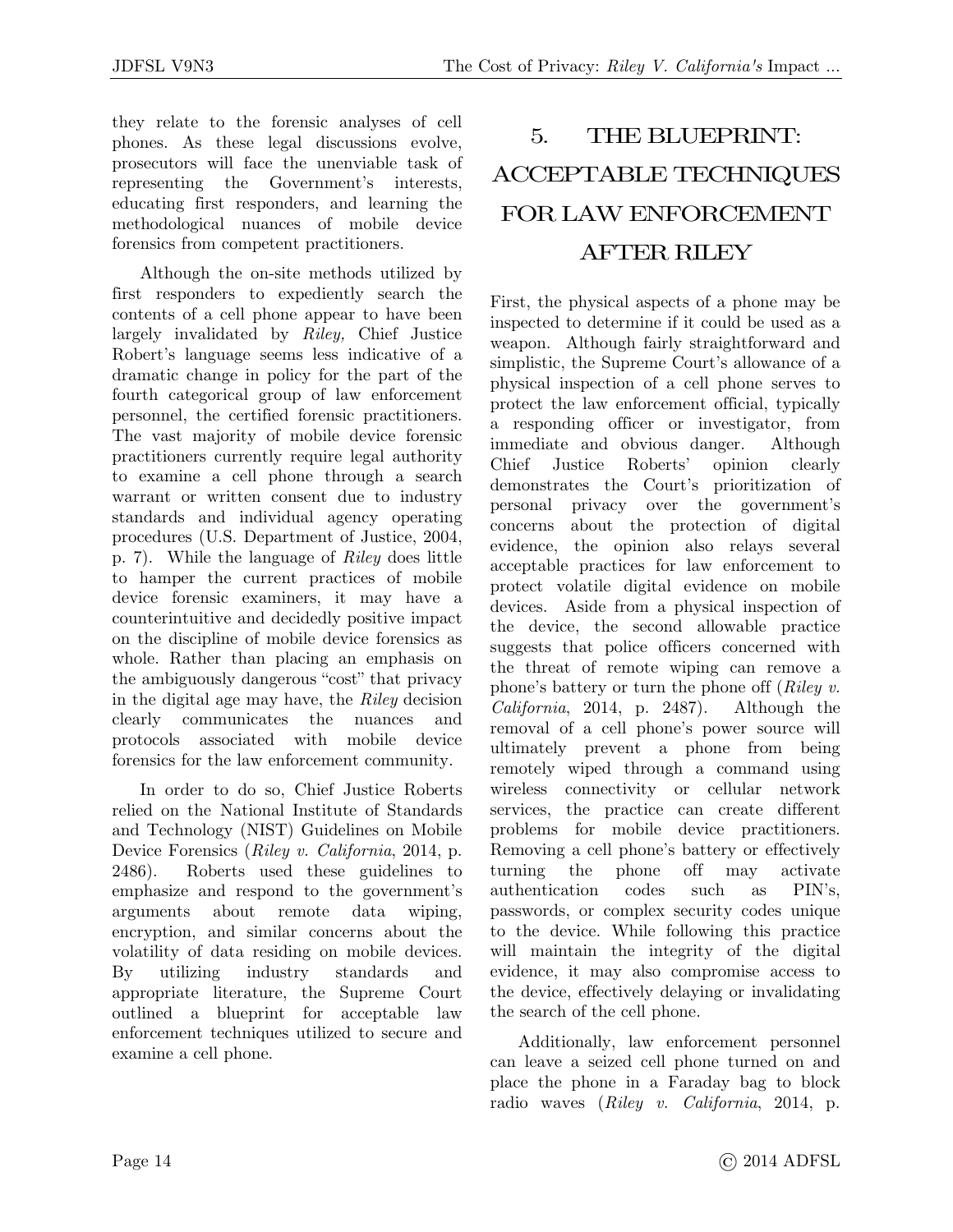they relate to the forensic analyses of cell phones. As these legal discussions evolve, prosecutors will face the unenviable task of representing the Government's interests, educating first responders, and learning the methodological nuances of mobile device forensics from competent practitioners.

Although the on-site methods utilized by first responders to expediently search the contents of a cell phone appear to have been largely invalidated by *Riley,* Chief Justice Robert's language seems less indicative of a dramatic change in policy for the part of the fourth categorical group of law enforcement personnel, the certified forensic practitioners. The vast majority of mobile device forensic practitioners currently require legal authority to examine a cell phone through a search warrant or written consent due to industry standards and individual agency operating procedures (U.S. Department of Justice, 2004, p. 7). While the language of *Riley* does little to hamper the current practices of mobile device forensic examiners, it may have a counterintuitive and decidedly positive impact on the discipline of mobile device forensics as whole. Rather than placing an emphasis on the ambiguously dangerous "cost" that privacy in the digital age may have, the *Riley* decision clearly communicates the nuances and protocols associated with mobile device forensics for the law enforcement community.

In order to do so, Chief Justice Roberts relied on the National Institute of Standards and Technology (NIST) Guidelines on Mobile Device Forensics (*Riley v. California*, 2014, p. 2486). Roberts used these guidelines to emphasize and respond to the government's arguments about remote data wiping, encryption, and similar concerns about the volatility of data residing on mobile devices. By utilizing industry standards and appropriate literature, the Supreme Court outlined a blueprint for acceptable law enforcement techniques utilized to secure and examine a cell phone.

# 5. THE BLUEPRINT: ACCEPTABLE TECHNIQUES FOR LAW ENFORCEMENT AFTER RILEY

First, the physical aspects of a phone may be inspected to determine if it could be used as a weapon. Although fairly straightforward and simplistic, the Supreme Court's allowance of a physical inspection of a cell phone serves to protect the law enforcement official, typically a responding officer or investigator, from immediate and obvious danger. Although Chief Justice Roberts' opinion clearly demonstrates the Court's prioritization of personal privacy over the government's concerns about the protection of digital evidence, the opinion also relays several acceptable practices for law enforcement to protect volatile digital evidence on mobile devices. Aside from a physical inspection of the device, the second allowable practice suggests that police officers concerned with the threat of remote wiping can remove a phone's battery or turn the phone off (*Riley v. California*, 2014, p. 2487). Although the removal of a cell phone's power source will ultimately prevent a phone from being remotely wiped through a command using wireless connectivity or cellular network services, the practice can create different problems for mobile device practitioners. Removing a cell phone's battery or effectively turning the phone off may activate authentication codes such as PIN's, passwords, or complex security codes unique to the device. While following this practice will maintain the integrity of the digital evidence, it may also compromise access to the device, effectively delaying or invalidating the search of the cell phone.

Additionally, law enforcement personnel can leave a seized cell phone turned on and place the phone in a Faraday bag to block radio waves (*Riley v. California*, 2014, p.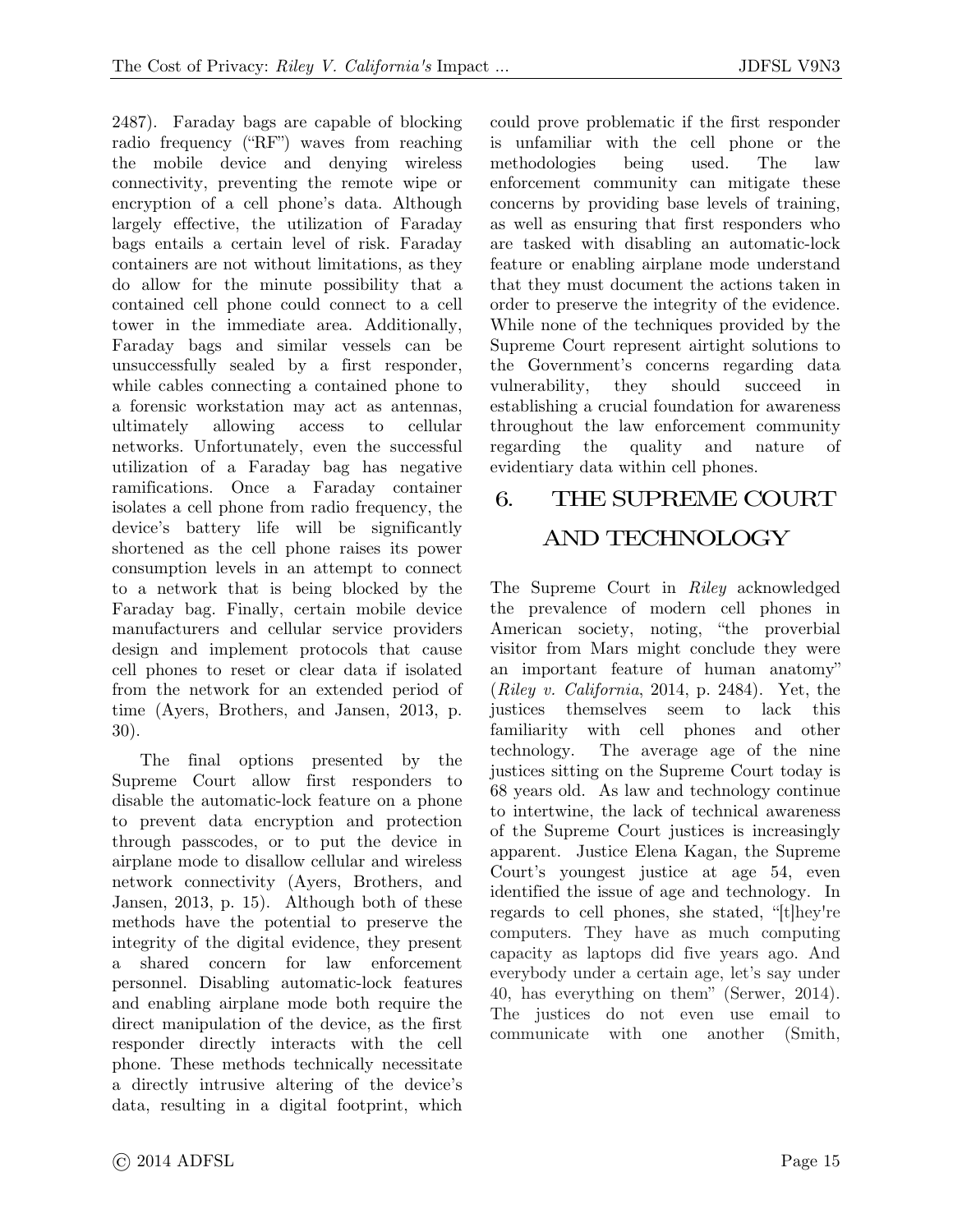2487). Faraday bags are capable of blocking radio frequency ("RF") waves from reaching the mobile device and denying wireless connectivity, preventing the remote wipe or encryption of a cell phone's data. Although largely effective, the utilization of Faraday bags entails a certain level of risk. Faraday containers are not without limitations, as they do allow for the minute possibility that a contained cell phone could connect to a cell tower in the immediate area. Additionally, Faraday bags and similar vessels can be unsuccessfully sealed by a first responder, while cables connecting a contained phone to a forensic workstation may act as antennas, ultimately allowing access to cellular networks. Unfortunately, even the successful utilization of a Faraday bag has negative ramifications. Once a Faraday container isolates a cell phone from radio frequency, the device's battery life will be significantly shortened as the cell phone raises its power consumption levels in an attempt to connect to a network that is being blocked by the Faraday bag. Finally, certain mobile device manufacturers and cellular service providers design and implement protocols that cause cell phones to reset or clear data if isolated from the network for an extended period of time (Ayers, Brothers, and Jansen, 2013, p. 30).

The final options presented by the Supreme Court allow first responders to disable the automatic-lock feature on a phone to prevent data encryption and protection through passcodes, or to put the device in airplane mode to disallow cellular and wireless network connectivity (Ayers, Brothers, and Jansen, 2013, p. 15). Although both of these methods have the potential to preserve the integrity of the digital evidence, they present a shared concern for law enforcement personnel. Disabling automatic-lock features and enabling airplane mode both require the direct manipulation of the device, as the first responder directly interacts with the cell phone. These methods technically necessitate a directly intrusive altering of the device's data, resulting in a digital footprint, which could prove problematic if the first responder is unfamiliar with the cell phone or the methodologies being used. The law enforcement community can mitigate these concerns by providing base levels of training, as well as ensuring that first responders who are tasked with disabling an automatic-lock feature or enabling airplane mode understand that they must document the actions taken in order to preserve the integrity of the evidence. While none of the techniques provided by the Supreme Court represent airtight solutions to the Government's concerns regarding data vulnerability, they should succeed in establishing a crucial foundation for awareness throughout the law enforcement community regarding the quality and nature evidentiary data within cell phones.

# 6. THE SUPREME COURT AND TECHNOLOGY

The Supreme Court in *Riley* acknowledged the prevalence of modern cell phones in American society, noting, "the proverbial visitor from Mars might conclude they were an important feature of human anatomy" (*Riley v. California*, 2014, p. 2484). Yet, the justices themselves seem to lack this familiarity with cell phones and other technology. The average age of the nine justices sitting on the Supreme Court today is 68 years old. As law and technology continue to intertwine, the lack of technical awareness of the Supreme Court justices is increasingly apparent. Justice Elena Kagan, the Supreme Court's youngest justice at age 54, even identified the issue of age and technology. In regards to cell phones, she stated, "[t]hey're computers. They have as much computing capacity as laptops did five years ago. And everybody under a certain age, let's say under 40, has everything on them" (Serwer, 2014). The justices do not even use email to communicate with one another (Smith,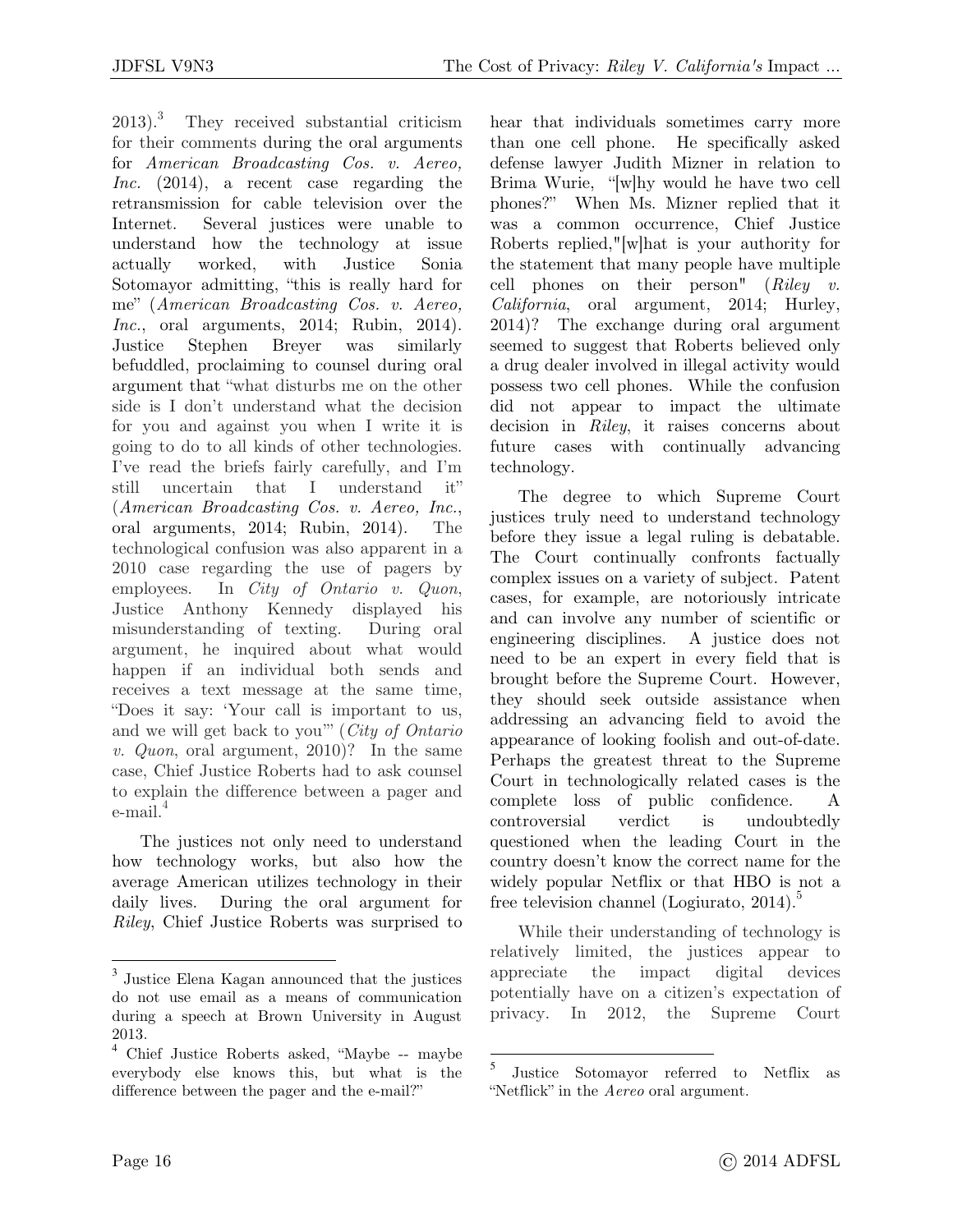$2013$ ).<sup>3</sup> They received substantial criticism for their comments during the oral arguments for *American Broadcasting Cos. v. Aereo, Inc.* (2014), a recent case regarding the retransmission for cable television over the Internet. Several justices were unable to understand how the technology at issue actually worked, with Justice Sonia Sotomayor admitting, "this is really hard for me" (*American Broadcasting Cos. v. Aereo, Inc.*, oral arguments, 2014; Rubin, 2014). Justice Stephen Breyer was similarly befuddled, proclaiming to counsel during oral argument that "what disturbs me on the other side is I don't understand what the decision for you and against you when I write it is going to do to all kinds of other technologies. I've read the briefs fairly carefully, and I'm still uncertain that I understand it" (*American Broadcasting Cos. v. Aereo, Inc.*, oral arguments, 2014; Rubin, 2014). The technological confusion was also apparent in a 2010 case regarding the use of pagers by employees. In *City of Ontario v. Quon*, Justice Anthony Kennedy displayed his misunderstanding of texting. During oral argument, he inquired about what would happen if an individual both sends and receives a text message at the same time, "Does it say: 'Your call is important to us, and we will get back to you'" (*City of Ontario v. Quon*, oral argument, 2010)? In the same case, Chief Justice Roberts had to ask counsel to explain the difference between a pager and  $e$ -mail. $4$ 

The justices not only need to understand how technology works, but also how the average American utilizes technology in their daily lives. During the oral argument for *Riley*, Chief Justice Roberts was surprised to hear that individuals sometimes carry more than one cell phone. He specifically asked defense lawyer Judith Mizner in relation to Brima Wurie, "[w]hy would he have two cell phones?" When Ms. Mizner replied that it was a common occurrence, Chief Justice Roberts replied,"[w]hat is your authority for the statement that many people have multiple cell phones on their person" (*Riley v. California*, oral argument, 2014; Hurley, 2014)? The exchange during oral argument seemed to suggest that Roberts believed only a drug dealer involved in illegal activity would possess two cell phones. While the confusion did not appear to impact the ultimate decision in *Riley*, it raises concerns about future cases with continually advancing technology.

The degree to which Supreme Court justices truly need to understand technology before they issue a legal ruling is debatable. The Court continually confronts factually complex issues on a variety of subject. Patent cases, for example, are notoriously intricate and can involve any number of scientific or engineering disciplines. A justice does not need to be an expert in every field that is brought before the Supreme Court. However, they should seek outside assistance when addressing an advancing field to avoid the appearance of looking foolish and out-of-date. Perhaps the greatest threat to the Supreme Court in technologically related cases is the complete loss of public confidence. A controversial verdict is undoubtedly questioned when the leading Court in the country doesn't know the correct name for the widely popular Netflix or that HBO is not a free television channel (Logiurato,  $2014$ ).<sup>5</sup>

While their understanding of technology is relatively limited, the justices appear to appreciate the impact digital devices potentially have on a citizen's expectation of privacy. In 2012, the Supreme Court

 $\overline{a}$ 

 $\overline{a}$ 

<sup>3</sup> Justice Elena Kagan announced that the justices do not use email as a means of communication during a speech at Brown University in August 2013.

<sup>4</sup> Chief Justice Roberts asked, "Maybe -- maybe everybody else knows this, but what is the difference between the pager and the e-mail?"

<sup>5</sup> Justice Sotomayor referred to Netflix as "Netflick" in the *Aereo* oral argument.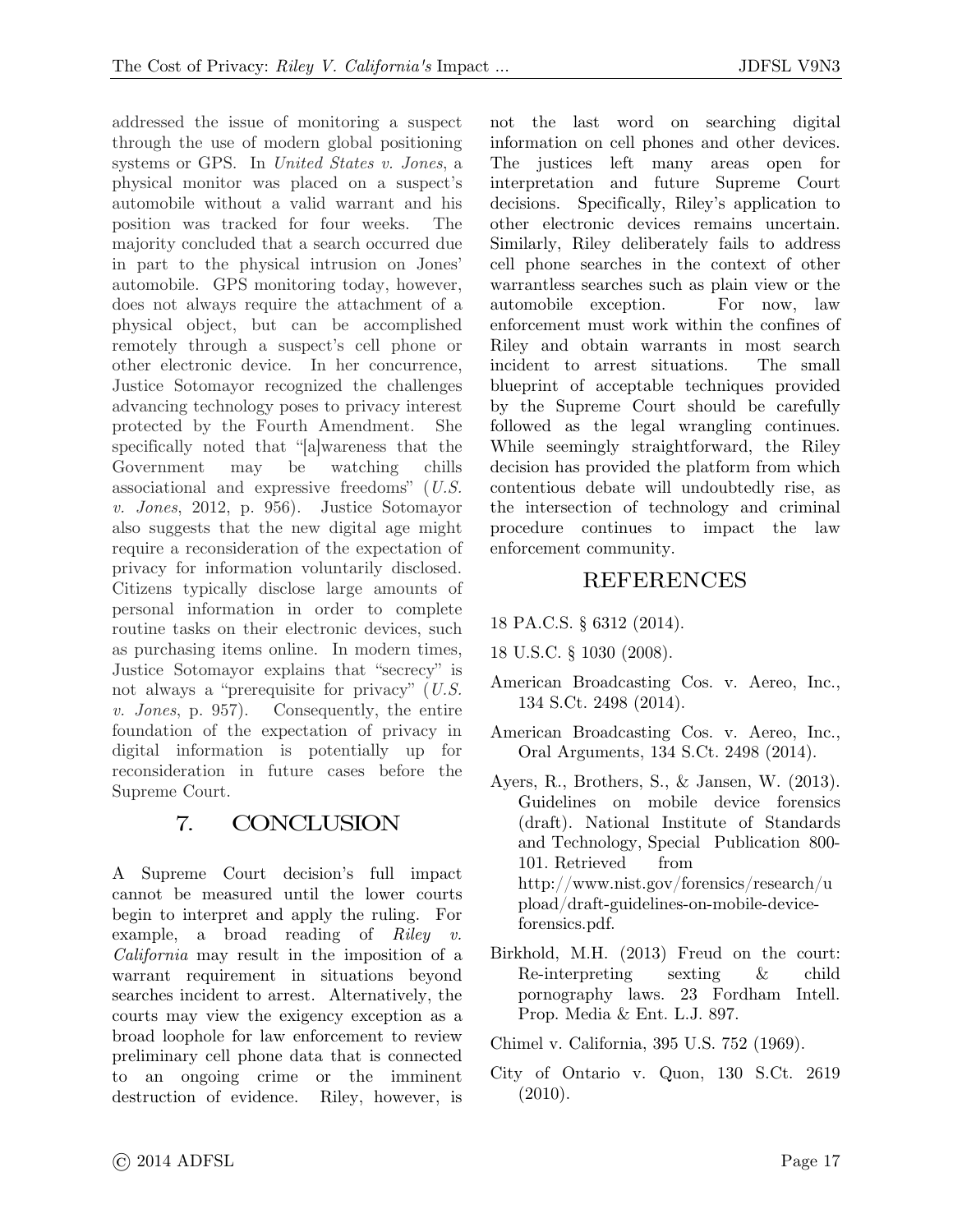addressed the issue of monitoring a suspect through the use of modern global positioning systems or GPS. In *United States v. Jones*, a physical monitor was placed on a suspect's automobile without a valid warrant and his position was tracked for four weeks. The majority concluded that a search occurred due in part to the physical intrusion on Jones' automobile. GPS monitoring today, however, does not always require the attachment of a physical object, but can be accomplished remotely through a suspect's cell phone or other electronic device. In her concurrence, Justice Sotomayor recognized the challenges advancing technology poses to privacy interest protected by the Fourth Amendment. She specifically noted that "[a]wareness that the Government may be watching chills associational and expressive freedoms" (*U.S. v. Jones*, 2012, p. 956). Justice Sotomayor also suggests that the new digital age might require a reconsideration of the expectation of privacy for information voluntarily disclosed. Citizens typically disclose large amounts of personal information in order to complete routine tasks on their electronic devices, such as purchasing items online. In modern times, Justice Sotomayor explains that "secrecy" is not always a "prerequisite for privacy" (*U.S. v. Jones*, p. 957). Consequently, the entire foundation of the expectation of privacy in digital information is potentially up for reconsideration in future cases before the Supreme Court.

### 7. CONCLUSION

A Supreme Court decision's full impact cannot be measured until the lower courts begin to interpret and apply the ruling. For example, a broad reading of *Riley v. California* may result in the imposition of a warrant requirement in situations beyond searches incident to arrest. Alternatively, the courts may view the exigency exception as a broad loophole for law enforcement to review preliminary cell phone data that is connected to an ongoing crime or the imminent destruction of evidence. Riley, however, is

not the last word on searching digital information on cell phones and other devices. The justices left many areas open for interpretation and future Supreme Court decisions. Specifically, Riley's application to other electronic devices remains uncertain. Similarly, Riley deliberately fails to address cell phone searches in the context of other warrantless searches such as plain view or the automobile exception. For now, law enforcement must work within the confines of Riley and obtain warrants in most search incident to arrest situations. The small blueprint of acceptable techniques provided by the Supreme Court should be carefully followed as the legal wrangling continues. While seemingly straightforward, the Riley decision has provided the platform from which contentious debate will undoubtedly rise, as the intersection of technology and criminal procedure continues to impact the law enforcement community.

### REFERENCES

- 18 PA.C.S. § 6312 (2014).
- 18 U.S.C. § 1030 (2008).
- American Broadcasting Cos. v. Aereo, Inc., 134 S.Ct. 2498 (2014).
- American Broadcasting Cos. v. Aereo, Inc., Oral Arguments, 134 S.Ct. 2498 (2014).
- Ayers, R., Brothers, S., & Jansen, W. (2013). Guidelines on mobile device forensics (draft). National Institute of Standards and Technology, Special Publication 800- 101. Retrieved from http://www.nist.gov/forensics/research/u pload/draft-guidelines-on-mobile-deviceforensics.pdf.
- Birkhold, M.H. (2013) Freud on the court: Re-interpreting sexting & child pornography laws. 23 Fordham Intell. Prop. Media & Ent. L.J. 897.
- Chimel v. California, 395 U.S. 752 (1969).
- City of Ontario v. Quon, 130 S.Ct. 2619 (2010).